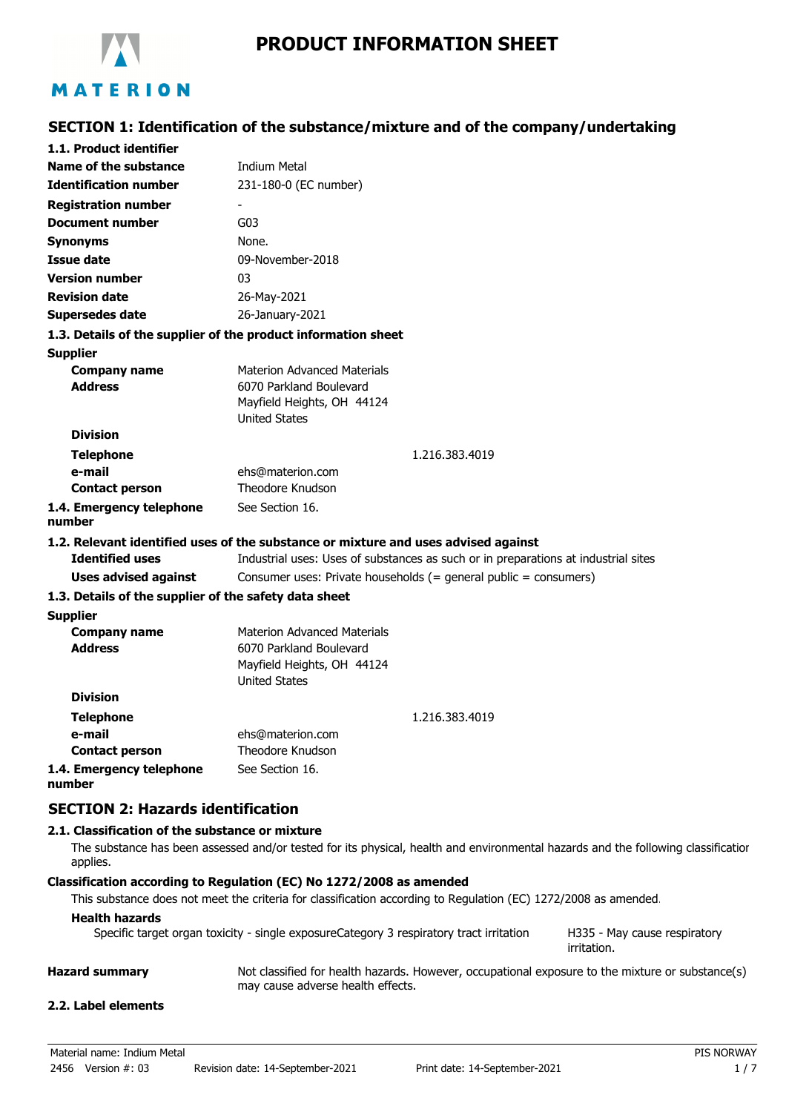

# **SECTION 1: Identification of the substance/mixture and of the company/undertaking**

| 1.1. Product identifier                                       |                                                                                    |
|---------------------------------------------------------------|------------------------------------------------------------------------------------|
| Name of the substance                                         | <b>Indium Metal</b>                                                                |
| <b>Identification number</b>                                  | 231-180-0 (EC number)                                                              |
| <b>Registration number</b>                                    |                                                                                    |
| <b>Document number</b>                                        | G03                                                                                |
| <b>Synonyms</b>                                               | None.                                                                              |
| <b>Issue date</b>                                             | 09-November-2018                                                                   |
| <b>Version number</b>                                         | 03                                                                                 |
| <b>Revision date</b>                                          | 26-May-2021                                                                        |
| <b>Supersedes date</b>                                        | 26-January-2021                                                                    |
| 1.3. Details of the supplier of the product information sheet |                                                                                    |
| <b>Supplier</b>                                               |                                                                                    |
| <b>Company name</b>                                           | <b>Materion Advanced Materials</b>                                                 |
| <b>Address</b>                                                | 6070 Parkland Boulevard                                                            |
|                                                               | Mayfield Heights, OH 44124                                                         |
| <b>Division</b>                                               | <b>United States</b>                                                               |
|                                                               |                                                                                    |
| <b>Telephone</b><br>e-mail                                    | 1.216.383.4019                                                                     |
| <b>Contact person</b>                                         | ehs@materion.com<br>Theodore Knudson                                               |
| 1.4. Emergency telephone                                      | See Section 16.                                                                    |
| number                                                        |                                                                                    |
|                                                               | 1.2. Relevant identified uses of the substance or mixture and uses advised against |
| <b>Identified uses</b>                                        | Industrial uses: Uses of substances as such or in preparations at industrial sites |
| <b>Uses advised against</b>                                   | Consumer uses: Private households (= general public = consumers)                   |
| 1.3. Details of the supplier of the safety data sheet         |                                                                                    |
| <b>Supplier</b>                                               |                                                                                    |
| <b>Company name</b>                                           | <b>Materion Advanced Materials</b>                                                 |
| <b>Address</b>                                                | 6070 Parkland Boulevard                                                            |
|                                                               | Mayfield Heights, OH 44124                                                         |
|                                                               | <b>United States</b>                                                               |
| <b>Division</b>                                               |                                                                                    |
| <b>Telephone</b>                                              | 1.216.383.4019                                                                     |
| e-mail                                                        | ehs@materion.com                                                                   |
| <b>Contact person</b>                                         | Theodore Knudson                                                                   |
| 1.4. Emergency telephone<br>number                            | See Section 16.                                                                    |
| <b>SECTION 2: Hazards identification</b>                      |                                                                                    |
| 2.1. Classification of the substance or mixture               |                                                                                    |

The substance has been assessed and/or tested for its physical, health and environmental hazards and the following classification applies.

#### **Classification according to Regulation (EC) No 1272/2008 as amended**

This substance does not meet the criteria for classification according to Regulation (EC) 1272/2008 as amended.

## **Health hazards**

| Specific target organ toxicity - single exposureCategory 3 respiratory tract irritation | H33 |
|-----------------------------------------------------------------------------------------|-----|
|-----------------------------------------------------------------------------------------|-----|

35 - May cause respiratory irritation.

**Hazard summary** Not classified for health hazards. However, occupational exposure to the mixture or substance(s) may cause adverse health effects.

# **2.2. Label elements**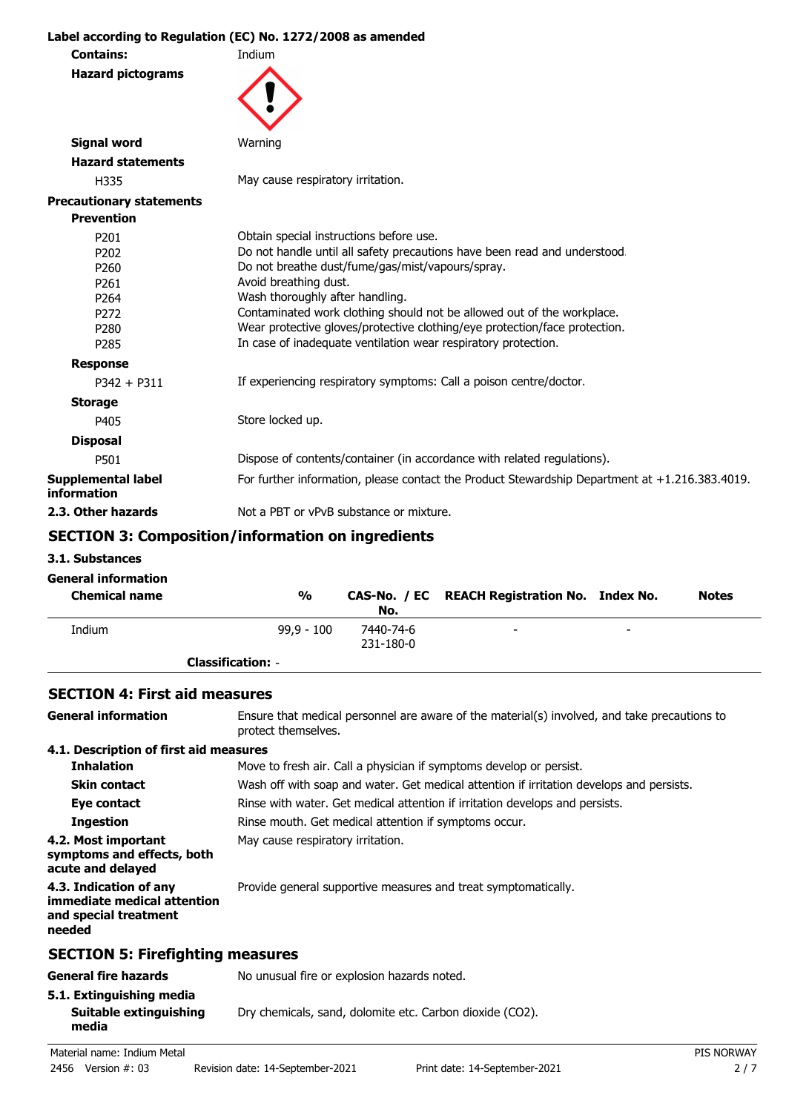**Label according to Regulation (EC) No. 1272/2008 as amended Contains:** Indium **Hazard pictograms Signal word** Warning **Hazard statements** H335 May cause respiratory irritation. **Precautionary statements Prevention** P201 **Detain special instructions before use.**<br>P202 **Do not handle until all safety precautic** P202 Do not handle until all safety precautions have been read and understood.<br>P260 Do not breathe dust/fume/gas/mist/vapours/spray. Do not breathe dust/fume/gas/mist/vapours/spray. P261 Avoid breathing dust. P264 Wash thoroughly after handling. P272 Contaminated work clothing should not be allowed out of the workplace. P280 Wear protective gloves/protective clothing/eye protection/face protection. P285 In case of inadequate ventilation wear respiratory protection. **Response** P342 + P311 If experiencing respiratory symptoms: Call a poison centre/doctor. **Storage** P405 Store locked up. **Disposal** P501 Dispose of contents/container (in accordance with related regulations). **Supplemental label information** For further information, please contact the Product Stewardship Department at +1.216.383.4019. **2.3. Other hazards** Not a PBT or vPvB substance or mixture.

# **SECTION 3: Composition/information on ingredients**

**3.1. Substances**

| <b>General information</b><br><b>Chemical name</b> | $\frac{0}{0}$            | No.       | CAS-No. / EC REACH Registration No. Index No. |                          | <b>Notes</b> |
|----------------------------------------------------|--------------------------|-----------|-----------------------------------------------|--------------------------|--------------|
| Indium                                             | $99.9 - 100$             | 7440-74-6 | $\overline{\phantom{0}}$                      | $\overline{\phantom{0}}$ |              |
|                                                    |                          | 231-180-0 |                                               |                          |              |
|                                                    | <b>Classification: -</b> |           |                                               |                          |              |

### **SECTION 4: First aid measures**

| <b>General information</b>                                                               | Ensure that medical personnel are aware of the material(s) involved, and take precautions to<br>protect themselves. |
|------------------------------------------------------------------------------------------|---------------------------------------------------------------------------------------------------------------------|
| 4.1. Description of first aid measures                                                   |                                                                                                                     |
| <b>Inhalation</b>                                                                        | Move to fresh air. Call a physician if symptoms develop or persist.                                                 |
| <b>Skin contact</b>                                                                      | Wash off with soap and water. Get medical attention if irritation develops and persists.                            |
| Eye contact                                                                              | Rinse with water. Get medical attention if irritation develops and persists.                                        |
| <b>Ingestion</b>                                                                         | Rinse mouth. Get medical attention if symptoms occur.                                                               |
| 4.2. Most important<br>symptoms and effects, both<br>acute and delayed                   | May cause respiratory irritation.                                                                                   |
| 4.3. Indication of any<br>immediate medical attention<br>and special treatment<br>needed | Provide general supportive measures and treat symptomatically.                                                      |
| <b>SECTION 5: Firefighting measures</b>                                                  |                                                                                                                     |
| <b>General fire hazards</b>                                                              | No unusual fire or explosion hazards noted.                                                                         |
| 5.1. Extinguishing media<br>Suitable extinguishing<br>media                              | Dry chemicals, sand, dolomite etc. Carbon dioxide (CO2).                                                            |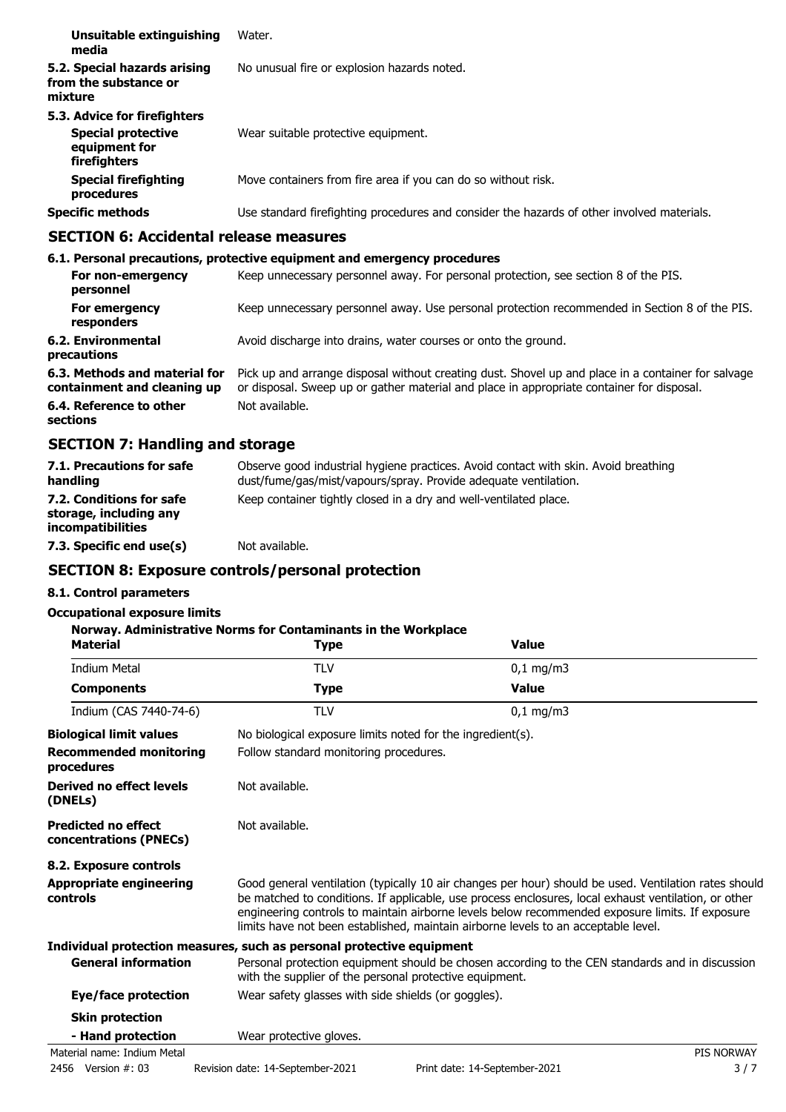| Unsuitable extinguishing<br>media                                                          | Water.                                                                                     |
|--------------------------------------------------------------------------------------------|--------------------------------------------------------------------------------------------|
| 5.2. Special hazards arising<br>from the substance or<br>mixture                           | No unusual fire or explosion hazards noted.                                                |
| 5.3. Advice for firefighters<br><b>Special protective</b><br>equipment for<br>firefighters | Wear suitable protective equipment.                                                        |
| <b>Special firefighting</b><br>procedures                                                  | Move containers from fire area if you can do so without risk.                              |
| <b>Specific methods</b>                                                                    | Use standard firefighting procedures and consider the hazards of other involved materials. |

# **SECTION 6: Accidental release measures**

|                                                              | 6.1. Personal precautions, protective equipment and emergency procedures                                                                                                                        |
|--------------------------------------------------------------|-------------------------------------------------------------------------------------------------------------------------------------------------------------------------------------------------|
| For non-emergency<br>personnel                               | Keep unnecessary personnel away. For personal protection, see section 8 of the PIS.                                                                                                             |
| For emergency<br>responders                                  | Keep unnecessary personnel away. Use personal protection recommended in Section 8 of the PIS.                                                                                                   |
| 6.2. Environmental<br>precautions                            | Avoid discharge into drains, water courses or onto the ground.                                                                                                                                  |
| 6.3. Methods and material for<br>containment and cleaning up | Pick up and arrange disposal without creating dust. Shovel up and place in a container for salvage<br>or disposal. Sweep up or gather material and place in appropriate container for disposal. |
| 6.4. Reference to other<br>sections                          | Not available.                                                                                                                                                                                  |

# **SECTION 7: Handling and storage**

| 7.1. Precautions for safe<br>handling                                          | Observe good industrial hygiene practices. Avoid contact with skin. Avoid breathing<br>dust/fume/gas/mist/vapours/spray. Provide adequate ventilation. |
|--------------------------------------------------------------------------------|--------------------------------------------------------------------------------------------------------------------------------------------------------|
| 7.2. Conditions for safe<br>storage, including any<br><i>incompatibilities</i> | Keep container tightly closed in a dry and well-ventilated place.                                                                                      |
| 7.3. Specific end use(s)                                                       | Not available.                                                                                                                                         |

# **SECTION 8: Exposure controls/personal protection**

# **8.1. Control parameters**

## **Occupational exposure limits**

| <b>Material</b>                                      | Norway. Administrative Norms for Contaminants in the Workplace<br><b>Type</b> | <b>Value</b>                                                                                                                                                                                                                                                                                                                                                                                           |            |
|------------------------------------------------------|-------------------------------------------------------------------------------|--------------------------------------------------------------------------------------------------------------------------------------------------------------------------------------------------------------------------------------------------------------------------------------------------------------------------------------------------------------------------------------------------------|------------|
| <b>Indium Metal</b>                                  | <b>TLV</b>                                                                    | $0,1$ mg/m3                                                                                                                                                                                                                                                                                                                                                                                            |            |
| <b>Components</b>                                    | <b>Type</b>                                                                   | <b>Value</b>                                                                                                                                                                                                                                                                                                                                                                                           |            |
| Indium (CAS 7440-74-6)                               | <b>TLV</b>                                                                    | $0,1$ mg/m3                                                                                                                                                                                                                                                                                                                                                                                            |            |
| <b>Biological limit values</b>                       |                                                                               | No biological exposure limits noted for the ingredient(s).                                                                                                                                                                                                                                                                                                                                             |            |
| <b>Recommended monitoring</b><br>procedures          | Follow standard monitoring procedures.                                        |                                                                                                                                                                                                                                                                                                                                                                                                        |            |
| Derived no effect levels<br>(DNELs)                  | Not available.                                                                |                                                                                                                                                                                                                                                                                                                                                                                                        |            |
| <b>Predicted no effect</b><br>concentrations (PNECs) | Not available.                                                                |                                                                                                                                                                                                                                                                                                                                                                                                        |            |
| 8.2. Exposure controls                               |                                                                               |                                                                                                                                                                                                                                                                                                                                                                                                        |            |
| <b>Appropriate engineering</b><br>controls           |                                                                               | Good general ventilation (typically 10 air changes per hour) should be used. Ventilation rates should<br>be matched to conditions. If applicable, use process enclosures, local exhaust ventilation, or other<br>engineering controls to maintain airborne levels below recommended exposure limits. If exposure<br>limits have not been established, maintain airborne levels to an acceptable level. |            |
|                                                      | Individual protection measures, such as personal protective equipment         |                                                                                                                                                                                                                                                                                                                                                                                                        |            |
| <b>General information</b>                           | with the supplier of the personal protective equipment.                       | Personal protection equipment should be chosen according to the CEN standards and in discussion                                                                                                                                                                                                                                                                                                        |            |
| Eye/face protection                                  | Wear safety glasses with side shields (or goggles).                           |                                                                                                                                                                                                                                                                                                                                                                                                        |            |
| <b>Skin protection</b>                               |                                                                               |                                                                                                                                                                                                                                                                                                                                                                                                        |            |
| - Hand protection                                    | Wear protective gloves.                                                       |                                                                                                                                                                                                                                                                                                                                                                                                        |            |
| Material name: Indium Metal                          |                                                                               |                                                                                                                                                                                                                                                                                                                                                                                                        | PIS NORWAY |
| 2456 Version #: 03                                   | Revision date: 14-September-2021                                              | Print date: 14-September-2021                                                                                                                                                                                                                                                                                                                                                                          | 3/7        |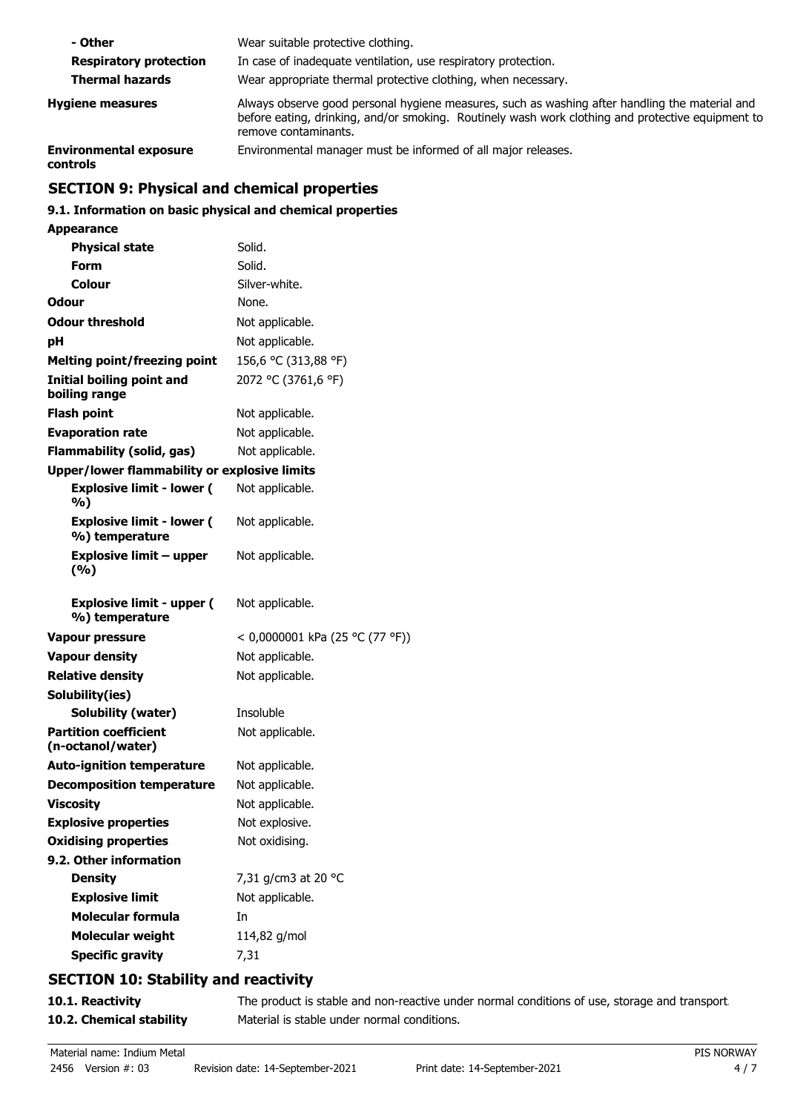| - Other                                   | Wear suitable protective clothing.                                                                                                                                                                                          |
|-------------------------------------------|-----------------------------------------------------------------------------------------------------------------------------------------------------------------------------------------------------------------------------|
| <b>Respiratory protection</b>             | In case of inadequate ventilation, use respiratory protection.                                                                                                                                                              |
| <b>Thermal hazards</b>                    | Wear appropriate thermal protective clothing, when necessary.                                                                                                                                                               |
| <b>Hygiene measures</b>                   | Always observe good personal hygiene measures, such as washing after handling the material and<br>before eating, drinking, and/or smoking. Routinely wash work clothing and protective equipment to<br>remove contaminants. |
| <b>Environmental exposure</b><br>controls | Environmental manager must be informed of all major releases.                                                                                                                                                               |

# **SECTION 9: Physical and chemical properties**

# **9.1. Information on basic physical and chemical properties**

| <b>Appearance</b>                                   |                                 |
|-----------------------------------------------------|---------------------------------|
| <b>Physical state</b>                               | Solid.                          |
| Form                                                | Solid.                          |
| Colour                                              | Silver-white.                   |
| Odour                                               | None.                           |
| <b>Odour threshold</b>                              | Not applicable.                 |
| рH                                                  | Not applicable.                 |
| <b>Melting point/freezing point</b>                 | 156,6 °C (313,88 °F)            |
| <b>Initial boiling point and</b><br>boiling range   | 2072 °C (3761,6 °F)             |
| <b>Flash point</b>                                  | Not applicable.                 |
| <b>Evaporation rate</b>                             | Not applicable.                 |
| Flammability (solid, gas)                           | Not applicable.                 |
| <b>Upper/lower flammability or explosive limits</b> |                                 |
| <b>Explosive limit - lower (</b><br>%)              | Not applicable.                 |
| <b>Explosive limit - lower (</b><br>%) temperature  | Not applicable.                 |
| <b>Explosive limit - upper</b><br>(%)               | Not applicable.                 |
|                                                     |                                 |
| <b>Explosive limit - upper (</b><br>%) temperature  | Not applicable.                 |
| Vapour pressure                                     | < 0,0000001 kPa (25 °C (77 °F)) |
| <b>Vapour density</b>                               | Not applicable.                 |
| <b>Relative density</b>                             | Not applicable.                 |
| Solubility(ies)                                     |                                 |
| Solubility (water)                                  | Insoluble                       |
| <b>Partition coefficient</b><br>(n-octanol/water)   | Not applicable.                 |
| <b>Auto-ignition temperature</b>                    | Not applicable.                 |
| <b>Decomposition temperature</b>                    | Not applicable.                 |
| <b>Viscosity</b>                                    | Not applicable.                 |
| <b>Explosive properties</b>                         | Not explosive.                  |
| <b>Oxidising properties</b>                         | Not oxidising.                  |
| 9.2. Other information                              |                                 |
| <b>Density</b>                                      | 7,31 g/cm3 at 20 °C             |
| <b>Explosive limit</b>                              | Not applicable.                 |
| <b>Molecular formula</b>                            | In                              |
| <b>Molecular weight</b><br><b>Specific gravity</b>  | 114,82 g/mol                    |

# **SECTION 10: Stability and reactivity**

| 10.1. Reactivity         | The product is stable and non-reactive under normal conditions of use, storage and transport |
|--------------------------|----------------------------------------------------------------------------------------------|
| 10.2. Chemical stability | Material is stable under normal conditions.                                                  |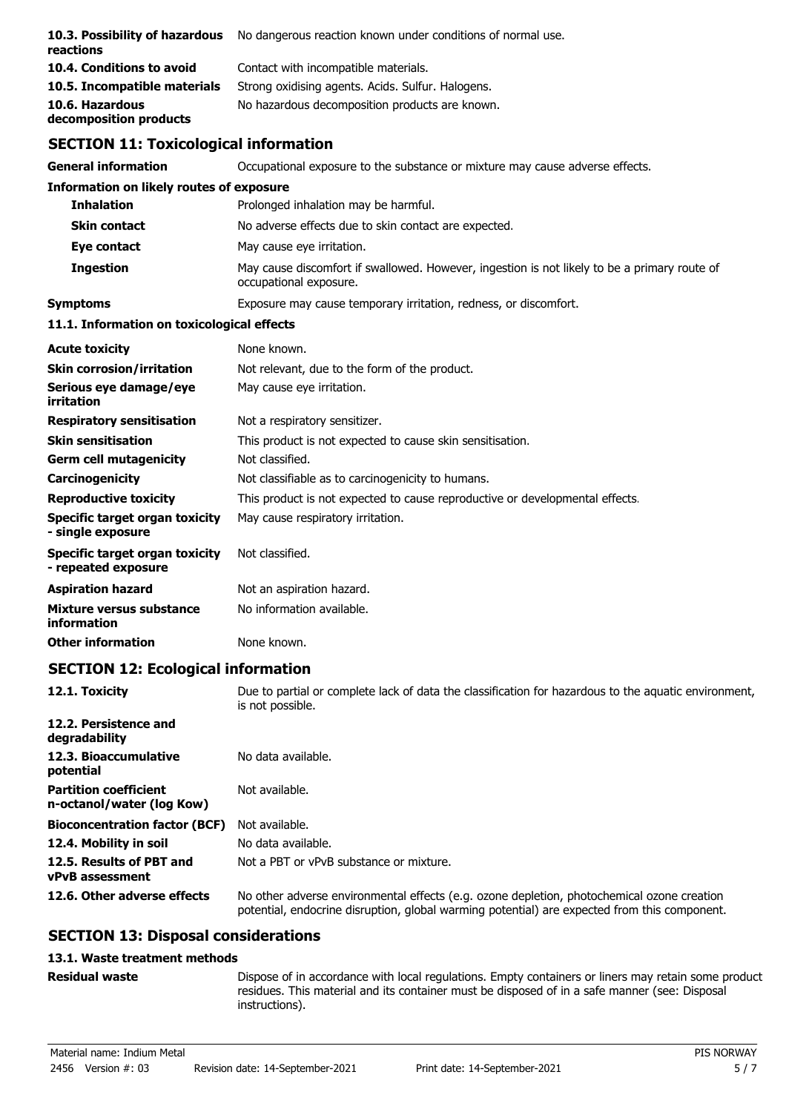| 10.3. Possibility of hazardous<br>reactions           | No dangerous reaction known under conditions of normal use.                                                            |
|-------------------------------------------------------|------------------------------------------------------------------------------------------------------------------------|
| 10.4. Conditions to avoid                             | Contact with incompatible materials.                                                                                   |
| 10.5. Incompatible materials                          | Strong oxidising agents. Acids. Sulfur. Halogens.                                                                      |
| 10.6. Hazardous<br>decomposition products             | No hazardous decomposition products are known.                                                                         |
| <b>SECTION 11: Toxicological information</b>          |                                                                                                                        |
| <b>General information</b>                            | Occupational exposure to the substance or mixture may cause adverse effects.                                           |
| <b>Information on likely routes of exposure</b>       |                                                                                                                        |
| <b>Inhalation</b>                                     | Prolonged inhalation may be harmful.                                                                                   |
| <b>Skin contact</b>                                   | No adverse effects due to skin contact are expected.                                                                   |
| Eye contact                                           | May cause eye irritation.                                                                                              |
| <b>Ingestion</b>                                      | May cause discomfort if swallowed. However, ingestion is not likely to be a primary route of<br>occupational exposure. |
| <b>Symptoms</b>                                       | Exposure may cause temporary irritation, redness, or discomfort.                                                       |
| 11.1. Information on toxicological effects            |                                                                                                                        |
|                                                       |                                                                                                                        |
| <b>Acute toxicity</b>                                 | None known.                                                                                                            |
| <b>Skin corrosion/irritation</b>                      | Not relevant, due to the form of the product.                                                                          |
| Serious eye damage/eye<br>irritation                  | May cause eye irritation.                                                                                              |
| <b>Respiratory sensitisation</b>                      | Not a respiratory sensitizer.                                                                                          |
| <b>Skin sensitisation</b>                             | This product is not expected to cause skin sensitisation.                                                              |
| <b>Germ cell mutagenicity</b>                         | Not classified.                                                                                                        |
| Carcinogenicity                                       | Not classifiable as to carcinogenicity to humans.                                                                      |
| <b>Reproductive toxicity</b>                          | This product is not expected to cause reproductive or developmental effects.                                           |
| Specific target organ toxicity<br>- single exposure   | May cause respiratory irritation.                                                                                      |
| Specific target organ toxicity<br>- repeated exposure | Not classified.                                                                                                        |
| <b>Aspiration hazard</b>                              | Not an aspiration hazard.                                                                                              |
| Mixture versus substance<br>information               | No information available.                                                                                              |

# **SECTION 12: Ecological information**

| 12.1. Toxicity                                            | Due to partial or complete lack of data the classification for hazardous to the aquatic environment,<br>is not possible.                                                                   |
|-----------------------------------------------------------|--------------------------------------------------------------------------------------------------------------------------------------------------------------------------------------------|
| 12.2. Persistence and<br>degradability                    |                                                                                                                                                                                            |
| 12.3. Bioaccumulative<br>potential                        | No data available.                                                                                                                                                                         |
| <b>Partition coefficient</b><br>n-octanol/water (log Kow) | Not available.                                                                                                                                                                             |
| <b>Bioconcentration factor (BCF)</b>                      | Not available.                                                                                                                                                                             |
| 12.4. Mobility in soil                                    | No data available.                                                                                                                                                                         |
| 12.5. Results of PBT and<br><b>vPvB</b> assessment        | Not a PBT or vPvB substance or mixture.                                                                                                                                                    |
| 12.6. Other adverse effects                               | No other adverse environmental effects (e.g. ozone depletion, photochemical ozone creation<br>potential, endocrine disruption, global warming potential) are expected from this component. |

# **SECTION 13: Disposal considerations**

#### **13.1. Waste treatment methods**

#### **Residual waste**

Dispose of in accordance with local regulations. Empty containers or liners may retain some product residues. This material and its container must be disposed of in a safe manner (see: Disposal instructions).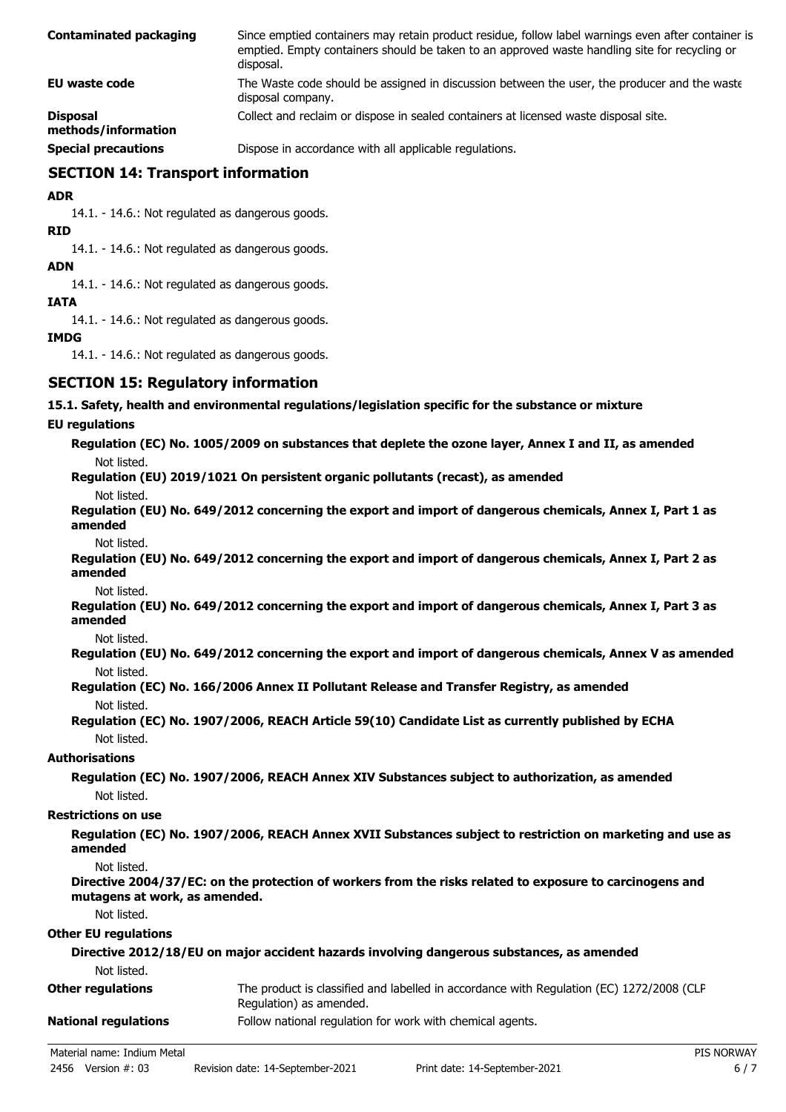| <b>Contaminated packaging</b>          | Since emptied containers may retain product residue, follow label warnings even after container is<br>emptied. Empty containers should be taken to an approved waste handling site for recycling or<br>disposal. |
|----------------------------------------|------------------------------------------------------------------------------------------------------------------------------------------------------------------------------------------------------------------|
| EU waste code                          | The Waste code should be assigned in discussion between the user, the producer and the waste<br>disposal company.                                                                                                |
| <b>Disposal</b><br>methods/information | Collect and reclaim or dispose in sealed containers at licensed waste disposal site.                                                                                                                             |
| Canainl avenue inne                    | Disposo in accordance with all applicable requisitions.                                                                                                                                                          |

**Special precautions** Dispose in accordance with all applicable regulations.

## **SECTION 14: Transport information**

**ADR**

14.1. - 14.6.: Not regulated as dangerous goods.

**RID**

14.1. - 14.6.: Not regulated as dangerous goods.

**ADN**

14.1. - 14.6.: Not regulated as dangerous goods.

#### **IATA**

14.1. - 14.6.: Not regulated as dangerous goods.

#### **IMDG**

14.1. - 14.6.: Not regulated as dangerous goods.

## **SECTION 15: Regulatory information**

#### **15.1. Safety, health and environmental regulations/legislation specific for the substance or mixture**

#### **EU regulations**

|             | Regulation (EC) No. 1005/2009 on substances that deplete the ozone layer, Annex I and II, as amended |
|-------------|------------------------------------------------------------------------------------------------------|
| Not listed. |                                                                                                      |

**Regulation (EU) 2019/1021 On persistent organic pollutants (recast), as amended**

Not listed.

**Regulation (EU) No. 649/2012 concerning the export and import of dangerous chemicals, Annex I, Part 1 as amended**

Not listed.

**Regulation (EU) No. 649/2012 concerning the export and import of dangerous chemicals, Annex I, Part 2 as amended**

Not listed.

**Regulation (EU) No. 649/2012 concerning the export and import of dangerous chemicals, Annex I, Part 3 as amended**

Not listed.

**Regulation (EU) No. 649/2012 concerning the export and import of dangerous chemicals, Annex V as amended** Not listed.

**Regulation (EC) No. 166/2006 Annex II Pollutant Release and Transfer Registry, as amended** Not listed.

## **Regulation (EC) No. 1907/2006, REACH Article 59(10) Candidate List as currently published by ECHA** Not listed.

# **Authorisations**

**Regulation (EC) No. 1907/2006, REACH Annex XIV Substances subject to authorization, as amended** Not listed.

#### **Restrictions on use**

**Regulation (EC) No. 1907/2006, REACH Annex XVII Substances subject to restriction on marketing and use as amended**

Not listed.

**Directive 2004/37/EC: on the protection of workers from the risks related to exposure to carcinogens and mutagens at work, as amended.**

Not listed.

#### **Other EU regulations**

| Directive 2012/18/EU on major accident hazards involving dangerous substances, as amended |                                                                                                                     |  |
|-------------------------------------------------------------------------------------------|---------------------------------------------------------------------------------------------------------------------|--|
| Not listed.                                                                               |                                                                                                                     |  |
| <b>Other regulations</b>                                                                  | The product is classified and labelled in accordance with Regulation (EC) 1272/2008 (CLP<br>Regulation) as amended. |  |
| <b>National regulations</b>                                                               | Follow national regulation for work with chemical agents.                                                           |  |